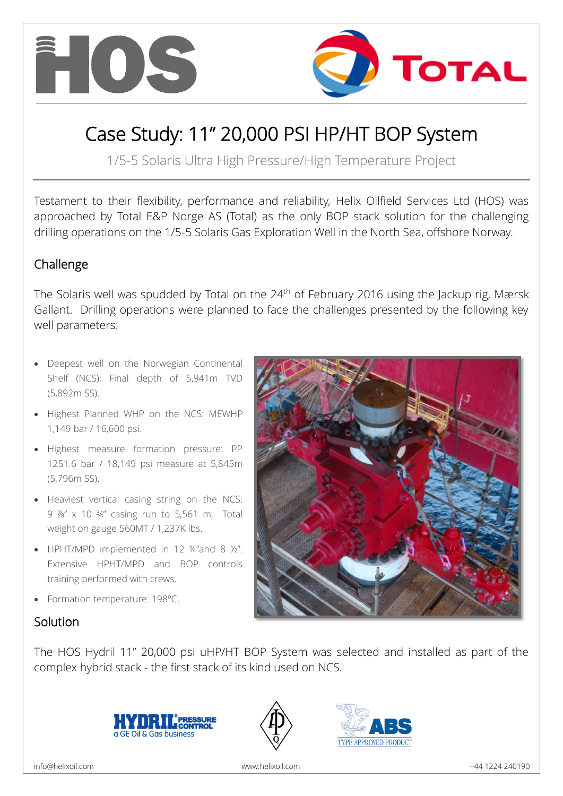



# Case Study: 11" 20,000 PSI HP/HT BOP System

1/5-5 Solaris Ultra High Pressure/High Temperature Project

Testament to their flexibility, performance and reliability, Helix Oilfield Services Ltd (HOS) was approached by Total E&P Norge AS (Total) as the only BOP stack solution for the challenging drilling operations on the 1/5-5 Solaris Gas Exploration Well in the North Sea, offshore Norway.

# Challenge

The Solaris well was spudded by Total on the  $24<sup>th</sup>$  of February 2016 using the Jackup rig, Mærsk Gallant. Drilling operations were planned to face the challenges presented by the following key well parameters:

- Deepest well on the Norwegian Continental Shelf (NCS): Final depth of 5,941m TVD (5,892m SS).
- Highest Planned WHP on the NCS: MEWHP 1,149 bar / 16,600 psi.
- Highest measure formation pressure: PP 1251.6 bar / 18,149 psi measure at 5,845m (5,796m SS).
- Heaviest vertical casing string on the NCS: 9 ⅞" x 10 ¾" casing run to 5,561 m; Total weight on gauge 560MT / 1,237K lbs.
- HPHT/MPD implemented in 12 ¼"and 8 ½". Extensive HPHT/MPD and BOP controls training performed with crews.
- Formation temperature: 198ºC.



# Solution

The HOS Hydril 11" 20,000 psi uHP/HT BOP System was selected and installed as part of the complex hybrid stack - the first stack of its kind used on NCS.